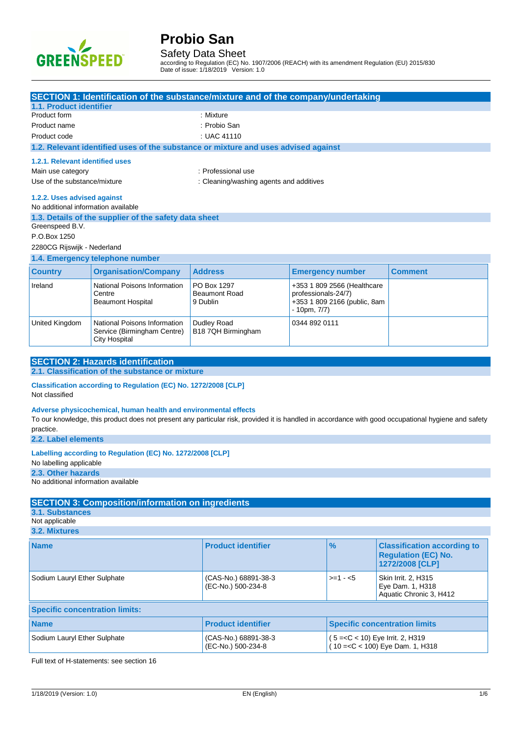

Safety Data Sheet

according to Regulation (EC) No. 1907/2006 (REACH) with its amendment Regulation (EU) 2015/830 Date of issue: 1/18/2019 Version: 1.0

|                                                      | SECTION 1: Identification of the substance/mixture and of the company/undertaking  |                                         |                     |                                     |                                                                                                                                                     |
|------------------------------------------------------|------------------------------------------------------------------------------------|-----------------------------------------|---------------------|-------------------------------------|-----------------------------------------------------------------------------------------------------------------------------------------------------|
| 1.1. Product identifier<br>Product form              |                                                                                    | : Mixture                               |                     |                                     |                                                                                                                                                     |
| Product name                                         | : Probio San                                                                       |                                         |                     |                                     |                                                                                                                                                     |
| : UAC 41110<br>Product code                          |                                                                                    |                                         |                     |                                     |                                                                                                                                                     |
|                                                      | 1.2. Relevant identified uses of the substance or mixture and uses advised against |                                         |                     |                                     |                                                                                                                                                     |
|                                                      |                                                                                    |                                         |                     |                                     |                                                                                                                                                     |
| 1.2.1. Relevant identified uses<br>Main use category |                                                                                    | : Professional use                      |                     |                                     |                                                                                                                                                     |
| Use of the substance/mixture                         |                                                                                    | : Cleaning/washing agents and additives |                     |                                     |                                                                                                                                                     |
|                                                      |                                                                                    |                                         |                     |                                     |                                                                                                                                                     |
| 1.2.2. Uses advised against                          |                                                                                    |                                         |                     |                                     |                                                                                                                                                     |
| No additional information available                  |                                                                                    |                                         |                     |                                     |                                                                                                                                                     |
| Greenspeed B.V.                                      | 1.3. Details of the supplier of the safety data sheet                              |                                         |                     |                                     |                                                                                                                                                     |
| P.O.Box 1250                                         |                                                                                    |                                         |                     |                                     |                                                                                                                                                     |
| 2280CG Rijswijk - Nederland                          |                                                                                    |                                         |                     |                                     |                                                                                                                                                     |
|                                                      | 1.4. Emergency telephone number                                                    |                                         |                     |                                     |                                                                                                                                                     |
| <b>Country</b>                                       | <b>Organisation/Company</b>                                                        | <b>Address</b>                          |                     | <b>Emergency number</b>             | <b>Comment</b>                                                                                                                                      |
| Ireland                                              | National Poisons Information                                                       | PO Box 1297                             |                     | +353 1 809 2566 (Healthcare         |                                                                                                                                                     |
|                                                      | Centre                                                                             | <b>Beaumont Road</b>                    | professionals-24/7) |                                     |                                                                                                                                                     |
|                                                      | <b>Beaumont Hospital</b>                                                           | 9 Dublin                                |                     | +353 1 809 2166 (public, 8am        |                                                                                                                                                     |
|                                                      |                                                                                    |                                         | - 10pm, 7/7)        |                                     |                                                                                                                                                     |
| United Kingdom                                       | National Poisons Information                                                       | Dudley Road                             | 0344 892 0111       |                                     |                                                                                                                                                     |
|                                                      | Service (Birmingham Centre)<br><b>City Hospital</b>                                | B18 7QH Birmingham                      |                     |                                     |                                                                                                                                                     |
|                                                      |                                                                                    |                                         |                     |                                     |                                                                                                                                                     |
|                                                      | <b>SECTION 2: Hazards identification</b>                                           |                                         |                     |                                     |                                                                                                                                                     |
|                                                      | 2.1. Classification of the substance or mixture                                    |                                         |                     |                                     |                                                                                                                                                     |
|                                                      | Classification according to Regulation (EC) No. 1272/2008 [CLP]                    |                                         |                     |                                     |                                                                                                                                                     |
| Not classified                                       |                                                                                    |                                         |                     |                                     |                                                                                                                                                     |
|                                                      | Adverse physicochemical, human health and environmental effects                    |                                         |                     |                                     |                                                                                                                                                     |
|                                                      |                                                                                    |                                         |                     |                                     | To our knowledge, this product does not present any particular risk, provided it is handled in accordance with good occupational hygiene and safety |
| practice.                                            |                                                                                    |                                         |                     |                                     |                                                                                                                                                     |
| 2.2. Label elements                                  |                                                                                    |                                         |                     |                                     |                                                                                                                                                     |
|                                                      | Labelling according to Regulation (EC) No. 1272/2008 [CLP]                         |                                         |                     |                                     |                                                                                                                                                     |
| No labelling applicable                              |                                                                                    |                                         |                     |                                     |                                                                                                                                                     |
| 2.3. Other hazards                                   |                                                                                    |                                         |                     |                                     |                                                                                                                                                     |
| No additional information available                  |                                                                                    |                                         |                     |                                     |                                                                                                                                                     |
|                                                      |                                                                                    |                                         |                     |                                     |                                                                                                                                                     |
| 3.1. Substances                                      | <b>SECTION 3: Composition/information on ingredients</b>                           |                                         |                     |                                     |                                                                                                                                                     |
| Not applicable                                       |                                                                                    |                                         |                     |                                     |                                                                                                                                                     |
| 3.2. Mixtures                                        |                                                                                    |                                         |                     |                                     |                                                                                                                                                     |
| <b>Name</b>                                          |                                                                                    | <b>Product identifier</b>               |                     | $\%$                                | <b>Classification according to</b>                                                                                                                  |
|                                                      |                                                                                    |                                         |                     |                                     | <b>Regulation (EC) No.</b>                                                                                                                          |
|                                                      |                                                                                    |                                         |                     |                                     | 1272/2008 [CLP]                                                                                                                                     |
| Sodium Lauryl Ether Sulphate                         |                                                                                    | (CAS-No.) 68891-38-3                    |                     | $>=1 - 5$                           | Skin Irrit. 2, H315                                                                                                                                 |
|                                                      |                                                                                    | (EC-No.) 500-234-8                      |                     |                                     | Eye Dam. 1, H318                                                                                                                                    |
| Aquatic Chronic 3, H412                              |                                                                                    |                                         |                     |                                     |                                                                                                                                                     |
| <b>Specific concentration limits:</b>                |                                                                                    |                                         |                     |                                     |                                                                                                                                                     |
| <b>Name</b>                                          |                                                                                    | <b>Product identifier</b>               |                     |                                     | <b>Specific concentration limits</b>                                                                                                                |
| Sodium Lauryl Ether Sulphate                         |                                                                                    | (CAS-No.) 68891-38-3                    |                     | $(5 = < C < 10)$ Eye Irrit. 2, H319 |                                                                                                                                                     |
|                                                      |                                                                                    | (EC-No.) 500-234-8                      |                     |                                     | $(10 = < C < 100)$ Eye Dam. 1, H318                                                                                                                 |
|                                                      |                                                                                    |                                         |                     |                                     |                                                                                                                                                     |

Full text of H-statements: see section 16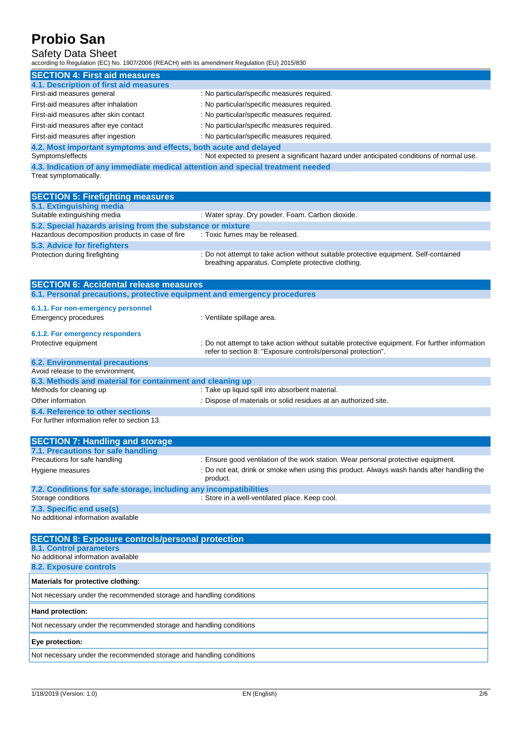## Safety Data Sheet

according to Regulation (EC) No. 1907/2006 (REACH) with its amendment Regulation (EU) 2015/830

| <b>SECTION 4: First aid measures</b>                                           |                                                                                            |  |  |
|--------------------------------------------------------------------------------|--------------------------------------------------------------------------------------------|--|--|
| 4.1. Description of first aid measures                                         |                                                                                            |  |  |
| First-aid measures general                                                     | : No particular/specific measures required.                                                |  |  |
| First-aid measures after inhalation                                            | : No particular/specific measures required.                                                |  |  |
| First-aid measures after skin contact                                          | : No particular/specific measures required.                                                |  |  |
| First-aid measures after eye contact                                           | : No particular/specific measures required.                                                |  |  |
| First-aid measures after ingestion                                             | : No particular/specific measures required.                                                |  |  |
| 4.2. Most important symptoms and effects, both acute and delayed               |                                                                                            |  |  |
| Symptoms/effects                                                               | : Not expected to present a significant hazard under anticipated conditions of normal use. |  |  |
| 4.3 Indication of any immediate medical attention and special treatment peoded |                                                                                            |  |  |

**4.3. Indication of any immediate medical attention and special treatment needed** Treat symptomatically.

| <b>SECTION 5: Firefighting measures</b>                                  |                                                                                                                                             |  |  |  |
|--------------------------------------------------------------------------|---------------------------------------------------------------------------------------------------------------------------------------------|--|--|--|
| 5.1. Extinguishing media                                                 |                                                                                                                                             |  |  |  |
| Suitable extinguishing media                                             | : Water spray. Dry powder. Foam. Carbon dioxide.                                                                                            |  |  |  |
| 5.2. Special hazards arising from the substance or mixture               |                                                                                                                                             |  |  |  |
| Hazardous decomposition products in case of fire                         | : Toxic fumes may be released.                                                                                                              |  |  |  |
| 5.3. Advice for firefighters                                             |                                                                                                                                             |  |  |  |
| Protection during firefighting                                           | : Do not attempt to take action without suitable protective equipment. Self-contained<br>breathing apparatus. Complete protective clothing. |  |  |  |
| <b>SECTION 6: Accidental release measures</b>                            |                                                                                                                                             |  |  |  |
| 6.1. Personal precautions, protective equipment and emergency procedures |                                                                                                                                             |  |  |  |
| 6.1.1. For non-emergency personnel<br>Emergency procedures               | : Ventilate spillage area.                                                                                                                  |  |  |  |

### **6.1.2. For emergency responders** Protective equipment **interprotective equipment** information : Do not attempt to take action without suitable protective equipment. For further information

|                                                           | refer to section 8: "Exposure controls/personal protection".    |  |  |
|-----------------------------------------------------------|-----------------------------------------------------------------|--|--|
| <b>6.2. Environmental precautions</b>                     |                                                                 |  |  |
| Avoid release to the environment.                         |                                                                 |  |  |
| 6.3. Methods and material for containment and cleaning up |                                                                 |  |  |
| Methods for cleaning up                                   | : Take up liquid spill into absorbent material.                 |  |  |
| Other information                                         | : Dispose of materials or solid residues at an authorized site. |  |  |
| 6.4. Reference to other sections                          |                                                                 |  |  |
| For further information refer to section 13.              |                                                                 |  |  |

| <b>SECTION 7: Handling and storage</b>                                    |                                                                                                        |
|---------------------------------------------------------------------------|--------------------------------------------------------------------------------------------------------|
| 7.1. Precautions for safe handling                                        |                                                                                                        |
| Precautions for safe handling                                             | : Ensure good ventilation of the work station. Wear personal protective equipment.                     |
| Hygiene measures                                                          | : Do not eat, drink or smoke when using this product. Always wash hands after handling the<br>product. |
| 7.2. Conditions for safe storage, including any incompatibilities         |                                                                                                        |
| Storage conditions                                                        | : Store in a well-ventilated place. Keep cool.                                                         |
| 7.3. Specific end use(s)                                                  |                                                                                                        |
| The first state the country of the first second the common section to the |                                                                                                        |

No additional information available

| <b>SECTION 8: Exposure controls/personal protection</b>             |
|---------------------------------------------------------------------|
| 8.1. Control parameters                                             |
| No additional information available                                 |
| 8.2. Exposure controls                                              |
| Materials for protective clothing:                                  |
| Not necessary under the recommended storage and handling conditions |
| Hand protection:                                                    |
| Not necessary under the recommended storage and handling conditions |
| Eye protection:                                                     |
| Not necessary under the recommended storage and handling conditions |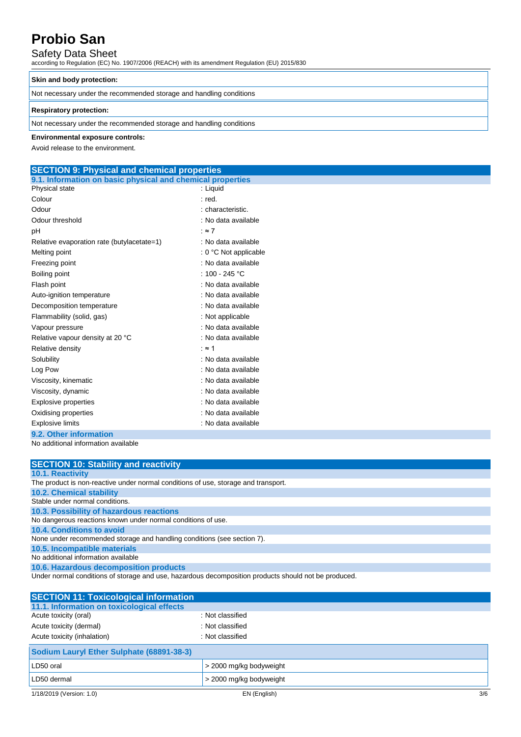## Safety Data Sheet

according to Regulation (EC) No. 1907/2006 (REACH) with its amendment Regulation (EU) 2015/830

### **Skin and body protection:**

Not necessary under the recommended storage and handling conditions

### **Respiratory protection:**

Not necessary under the recommended storage and handling conditions

### **Environmental exposure controls:**

Avoid release to the environment.

## **SECTION 9: Physical and chemical properties**

| 9.1. Information on basic physical and chemical properties |                         |
|------------------------------------------------------------|-------------------------|
| Physical state                                             | : Liguid                |
| Colour                                                     | : red.                  |
| Odour                                                      | : characteristic.       |
| Odour threshold                                            | : No data available     |
| рH                                                         | : $\approx 7$           |
| Relative evaporation rate (butylacetate=1)                 | : No data available     |
| Melting point                                              | $: 0 °C$ Not applicable |
| Freezing point                                             | : No data available     |
| Boiling point                                              | : 100 - 245 °C          |
| Flash point                                                | : No data available     |
| Auto-ignition temperature                                  | : No data available     |
| Decomposition temperature                                  | : No data available     |
| Flammability (solid, gas)                                  | : Not applicable        |
| Vapour pressure                                            | : No data available     |
| Relative vapour density at 20 °C                           | : No data available     |
| Relative density                                           | ∶≈ 1                    |
| Solubility                                                 | : No data available     |
| Log Pow                                                    | : No data available     |
| Viscosity, kinematic                                       | : No data available     |
| Viscosity, dynamic                                         | : No data available     |
| <b>Explosive properties</b>                                | : No data available     |
| Oxidising properties                                       | : No data available     |
| <b>Explosive limits</b>                                    | : No data available     |
| 9.2. Other information                                     |                         |
| No additional information available                        |                         |

| <b>SECTION 10: Stability and reactivity</b>                                        |
|------------------------------------------------------------------------------------|
| <b>10.1. Reactivity</b>                                                            |
| The product is non-reactive under normal conditions of use, storage and transport. |
| <b>10.2. Chemical stability</b>                                                    |
| Stable under normal conditions.                                                    |
| 10.3. Possibility of hazardous reactions                                           |
| No dangerous reactions known under normal conditions of use.                       |
| 10.4. Conditions to avoid                                                          |
| None under recommended storage and handling conditions (see section 7).            |
| 10.5. Incompatible materials                                                       |
| No additional information available                                                |
| 10.6. Hazardous decomposition products                                             |

Under normal conditions of storage and use, hazardous decomposition products should not be produced.

| <b>SECTION 11: Toxicological information</b> |                         |     |
|----------------------------------------------|-------------------------|-----|
| 11.1. Information on toxicological effects   |                         |     |
| Acute toxicity (oral)                        | : Not classified        |     |
| Acute toxicity (dermal)                      | : Not classified        |     |
| Acute toxicity (inhalation)                  | : Not classified        |     |
| Sodium Lauryl Ether Sulphate (68891-38-3)    |                         |     |
| LD50 oral                                    | > 2000 mg/kg bodyweight |     |
| LD50 dermal                                  | > 2000 mg/kg bodyweight |     |
| 1/18/2019 (Version: 1.0)                     | EN (English)            | 3/6 |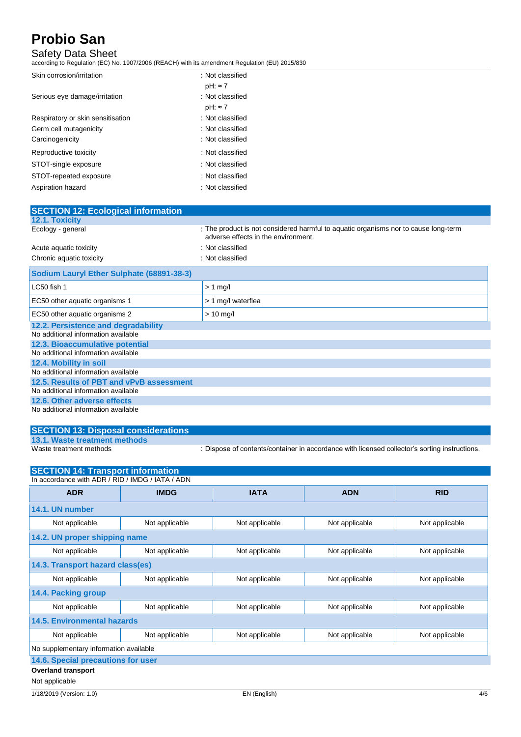## Safety Data Sheet

according to Regulation (EC) No. 1907/2006 (REACH) with its amendment Regulation (EU) 2015/830

| : Not classified |
|------------------|
| $pH: \approx 7$  |
| : Not classified |
| $pH: \approx 7$  |
| : Not classified |
| : Not classified |
| : Not classified |
| : Not classified |
| : Not classified |
| : Not classified |
| : Not classified |
|                  |

| <b>SECTION 12: Ecological information</b> |                                                                                                                            |
|-------------------------------------------|----------------------------------------------------------------------------------------------------------------------------|
| <b>12.1. Toxicity</b>                     |                                                                                                                            |
| Ecology - general                         | : The product is not considered harmful to aquatic organisms nor to cause long-term<br>adverse effects in the environment. |
| Acute aquatic toxicity                    | : Not classified                                                                                                           |
| Chronic aquatic toxicity                  | : Not classified                                                                                                           |
| Sodium Lauryl Ether Sulphate (68891-38-3) |                                                                                                                            |
| LC50 fish 1                               | $> 1$ mg/l                                                                                                                 |
| EC50 other aquatic organisms 1            | > 1 mg/l waterflea                                                                                                         |
| EC50 other aquatic organisms 2            | $> 10$ mg/l                                                                                                                |
| 12.2. Persistence and degradability       |                                                                                                                            |
| No additional information available       |                                                                                                                            |
| 12.3. Bioaccumulative potential           |                                                                                                                            |
| No additional information available       |                                                                                                                            |
| 12.4. Mobility in soil                    |                                                                                                                            |
| No additional information available       |                                                                                                                            |
| 12.5. Results of PBT and vPvB assessment  |                                                                                                                            |
| No additional information available       |                                                                                                                            |
| 12.6. Other adverse effects               |                                                                                                                            |
| No additional information available       |                                                                                                                            |

## **SECTION 13: Disposal considerations 13.1. Waste treatment methods**

: Dispose of contents/container in accordance with licensed collector's sorting instructions.

| <b>SECTION 14: Transport information</b>         |                                  |                |                |                |  |
|--------------------------------------------------|----------------------------------|----------------|----------------|----------------|--|
| In accordance with ADR / RID / IMDG / IATA / ADN |                                  |                |                |                |  |
| <b>ADR</b>                                       | <b>IMDG</b>                      | <b>IATA</b>    | <b>ADN</b>     | <b>RID</b>     |  |
| 14.1. UN number                                  |                                  |                |                |                |  |
| Not applicable                                   | Not applicable                   | Not applicable | Not applicable | Not applicable |  |
| 14.2. UN proper shipping name                    |                                  |                |                |                |  |
| Not applicable                                   | Not applicable                   | Not applicable | Not applicable | Not applicable |  |
|                                                  | 14.3. Transport hazard class(es) |                |                |                |  |
| Not applicable                                   | Not applicable                   | Not applicable | Not applicable | Not applicable |  |
| 14.4. Packing group                              |                                  |                |                |                |  |
| Not applicable                                   | Not applicable                   | Not applicable | Not applicable | Not applicable |  |
| <b>14.5. Environmental hazards</b>               |                                  |                |                |                |  |
| Not applicable                                   | Not applicable                   | Not applicable | Not applicable | Not applicable |  |
| No supplementary information available           |                                  |                |                |                |  |
| 14.6. Special precautions for user               |                                  |                |                |                |  |
| <b>Overland transport</b>                        |                                  |                |                |                |  |
| Not applicable                                   |                                  |                |                |                |  |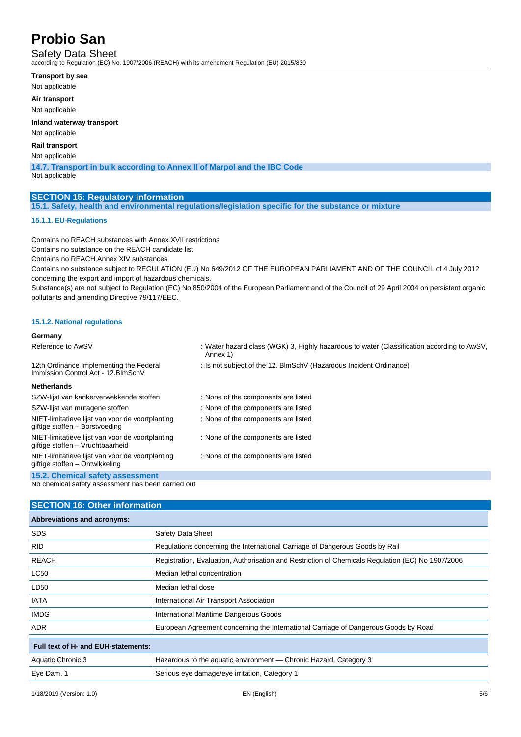Safety Data Sheet

according to Regulation (EC) No. 1907/2006 (REACH) with its amendment Regulation (EU) 2015/830

- **Transport by sea**
- Not applicable

**Air transport**

Not applicable

**Inland waterway transport**

Not applicable

### **Rail transport**

Not applicable

**14.7. Transport in bulk according to Annex II of Marpol and the IBC Code**

Not applicable

### **SECTION 15: Regulatory information**

**15.1. Safety, health and environmental regulations/legislation specific for the substance or mixture**

### **15.1.1. EU-Regulations**

Contains no REACH substances with Annex XVII restrictions Contains no substance on the REACH candidate list

Contains no REACH Annex XIV substances

Contains no substance subject to REGULATION (EU) No 649/2012 OF THE EUROPEAN PARLIAMENT AND OF THE COUNCIL of 4 July 2012 concerning the export and import of hazardous chemicals.

Substance(s) are not subject to Regulation (EC) No 850/2004 of the European Parliament and of the Council of 29 April 2004 on persistent organic pollutants and amending Directive 79/117/EEC.

### **15.1.2. National regulations**

#### **Germany** Reference to AwSV : Water hazard class (WGK) 3, Highly hazardous to water (Classification according to AwSV, Annex 1) 12th Ordinance Implementing the Federal Immission Control Act - 12.BImSchV : Is not subject of the 12. BlmSchV (Hazardous Incident Ordinance) **Netherlands** SZW-lijst van kankerverwekkende stoffen : None of the components are listed SZW-lijst van mutagene stoffen : None of the components are listed NIET-limitatieve lijst van voor de voortplanting giftige stoffen – Borstvoeding : None of the components are listed NIET-limitatieve lijst van voor de voortplanting giftige stoffen – Vruchtbaarheid : None of the components are listed NIET-limitatieve lijst van voor de voortplanting giftige stoffen – Ontwikkeling : None of the components are listed **15.2. Chemical safety assessment**

No chemical safety assessment has been carried out

### **SECTION 16: Other information**

| <b>Abbreviations and acronyms:</b>  |                                                                                                   |
|-------------------------------------|---------------------------------------------------------------------------------------------------|
| <b>SDS</b>                          | Safety Data Sheet                                                                                 |
| <b>RID</b>                          | Regulations concerning the International Carriage of Dangerous Goods by Rail                      |
| <b>REACH</b>                        | Registration, Evaluation, Authorisation and Restriction of Chemicals Regulation (EC) No 1907/2006 |
| <b>LC50</b>                         | Median lethal concentration                                                                       |
| LD50                                | Median lethal dose                                                                                |
| <b>IATA</b>                         | International Air Transport Association                                                           |
| <b>IMDG</b>                         | International Maritime Dangerous Goods                                                            |
| <b>ADR</b>                          | European Agreement concerning the International Carriage of Dangerous Goods by Road               |
| Full text of H- and EUH-statements: |                                                                                                   |
| Aquatic Chronic 3                   | Hazardous to the aquatic environment — Chronic Hazard, Category 3                                 |
| Eye Dam. 1                          | Serious eye damage/eye irritation, Category 1                                                     |